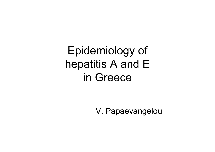Epidemiology of hepatitis A and E in Greece

V. Papaevangelou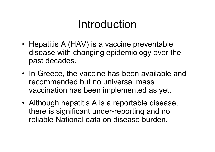## Introduction

- Hepatitis A (HAV) is a vaccine preventable disease with changing epidemiology over the past decades.
- In Greece, the vaccine has been available and recommended but no universal mass vaccination has been implemented as yet.
- Although hepatitis A is a reportable disease, there is significant under-reporting and no reliable National data on disease burden.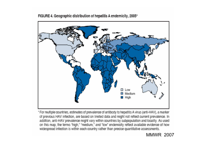Low Medium High

FIGURE 4. Geographic distribution of hepatitis A endemicity, 2005\*

\* For multiple countries, estimates of prevalence of antibody to hepatitis A virus (anti-HAV), a marker of previous HAV infection, are based on limited data and might not reflect current prevalence. In addition, anti-HAV prevalence might vary within countries by subpopulation and locality. As used on this map, the terms "high," "medium," and "low" endemicity reflect available evidence of how widespread infection is within each country rather than precise quantitative assessments.

MMWR 2007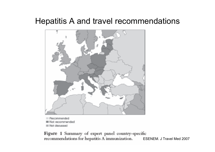#### Hepatitis A and travel recommendations



**E** Recommended Not recommended **III Not discussed** 

Figure 1 Summary of expert panel country-specific recommendations for hepatitis A immunization. ESENEM. J Travel Med 2007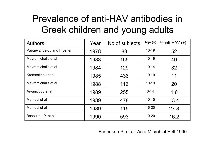### Prevalence of anti-HAV antibodies in Greek children and young adults

| <b>Authors</b>            | Year | No of subjects | Age $(y)$ | $%anti-HAV (+)$ |
|---------------------------|------|----------------|-----------|-----------------|
| Papaevangelou and Frosner | 1978 | 83             | $10 - 19$ | 52              |
| Mayromichalis et al       | 1983 | 155            | $10 - 19$ | 40              |
| Mayromichalis et al       | 1984 | 129            | $10 - 14$ | 32              |
| Kremastinou et al.        | 1985 | 436            | $10 - 19$ | 11              |
| Mayromichalis et al       | 1988 | 116            | $10 - 19$ | 20              |
| Arvanitidou et al         | 1989 | 255            | $6 - 14$  | 1.6             |
| Mamasi et al              | 1989 | 478            | $10 - 15$ | 13.4            |
| Mamasi et al              | 1989 | 115            | $16 - 20$ | 27.8            |
| Basoukou P. et al         | 1990 | 593            | $10 - 20$ | 16.2            |

Basoukou P. et al. Acta Microbiol Hell 1990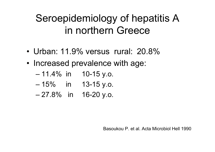## Seroepidemiology of hepatitis A in northern Greece

- •Urban: 11.9% versus rural: 20.8%
- Increased prevalence with age:
	- 11.4% in 10-15 y.o.
	- 15% in 13-15 y.o.
	- 27.8% in 16-20 y.o.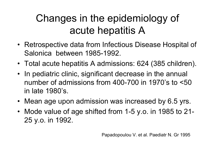## Changes in the epidemiology of acute hepatitis A

- Retrospective data from Infectious Disease Hospital of Salonica between 1985-1992.
- Total acute hepatitis A admissions: 624 (385 children).
- In pediatric clinic, significant decrease in the annual number of admissions from 400-700 in 1970's to <50 in late 1980's.
- Mean age upon admission was increased by 6.5 yrs.
- Mode value of age shifted from 1-5 y.o. in 1985 to 21- 25 y.o. in 1992.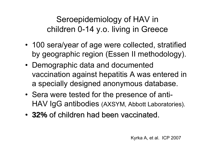Seroepidemiology of HAV in children 0-14 y.o. living in Greece

- 100 sera/year of age were collected, stratified by geographic region (Essen II methodology).
- Demographic data and documented vaccination against hepatitis A was entered in a specially designed anonymous database.
- Sera were tested for the presence of anti-HAV IgG antibodies (AXSYM, Abbott Laboratories).
- **32%** of children had been vaccinated.

Kyrka A, et al. ICP 2007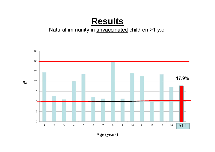#### **Results**

#### Natural immunity in *unvaccinated* children >1 y.o.



 $\%$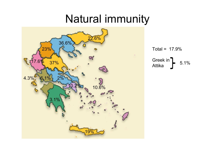## Natural immunity



Total = 17.9%

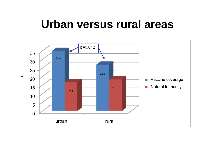## **Urban versus rural areas**

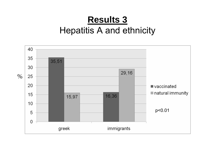#### **Results 3**  Hepatitis A and ethnicity

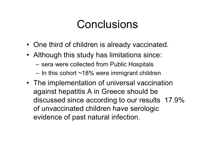## Conclusions

- One third of children is already vaccinated.
- Although this study has limitations since:
	- sera were collected from Public Hospitals
	- In this cohort ~18% were immigrant children
- The implementation of universal vaccination against hepatitis A in Greece should be discussed since according to our results 17.9% of unvaccinated children have serologic evidence of past natural infection.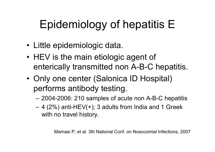# Epidemiology of hepatitis E

- Little epidemiologic data.
- •• HEV is the main etiologic agent of enterically transmitted non A-B-C hepatitis.
- •• Only one center (Salonica ID Hospital) performs antibody testing.
	- 2004-2006: 210 samples of acute non A-B-C hepatitis
	- $-$  4 (2%) anti-HEV(+); 3 adults from India and 1 Greek with no travel history.

Mamasi P, et al. 3th National Conf. on Nosocomial Infections, 2007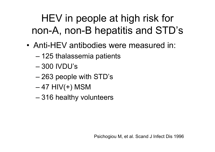## HEV in people at high risk for non-A, non-B hepatitis and STD's

- Anti-HEV antibodies were measured in:
	- 125 thalassemia patients
	- 300 IVDU's
	- 263 people with STD's
	- 47 HIV(+) MSM
	- 316 healthy volunteers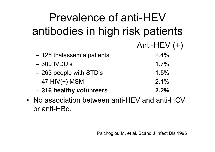| Prevalence of anti-HEV                         |                |  |  |  |
|------------------------------------------------|----------------|--|--|--|
| antibodies in high risk patients               |                |  |  |  |
|                                                | Anti-HEV $(+)$ |  |  |  |
| - 125 thalassemia patients                     | 2.4%           |  |  |  |
| $-300$ IVDU's                                  | 1.7%           |  |  |  |
| - 263 people with STD's                        | 1.5%           |  |  |  |
| $-47$ HIV(+) MSM                               | 2.1%           |  |  |  |
| - 316 healthy volunteers                       | 2.2%           |  |  |  |
| • No association between anti-HEV and anti-HCV |                |  |  |  |

or anti-HBc.

•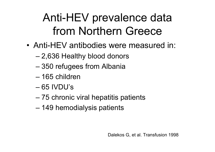# Anti-HEV prevalence data from Northern Greece

- Anti-HEV antibodies were measured in:
	- 2,636 Healthy blood donors
	- 350 refugees from Albania
	- 165 children
	- 65 IVDU's
	- 75 chronic viral hepatitis patients
	- 149 hemodialysis patients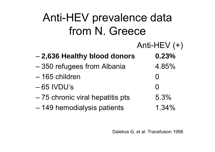| Anti-HEV prevalence data        |                   |  |  |  |
|---------------------------------|-------------------|--|--|--|
| from N. Greece                  |                   |  |  |  |
|                                 | Anti-HEV $(+)$    |  |  |  |
| - 2,636 Healthy blood donors    | 0.23%             |  |  |  |
| -350 refugees from Albania      | 4.85%             |  |  |  |
| - 165 children                  | $\mathbf{\Omega}$ |  |  |  |
| $-65$ IVDU's                    |                   |  |  |  |
| -75 chronic viral hepatitis pts | 5.3%              |  |  |  |
| - 149 hemodialysis patients     | $1.34\%$          |  |  |  |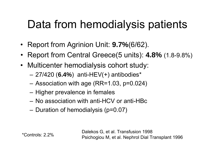## Data from hemodialysis patients

- Report from Agrinion Unit: **9.7%**(6/62).
- Report from Central Greece(5 units): **4.8%** (1.8-9.8%)
- Multicenter hemodialysis cohort study:
	- –27/420 (**6.4%**) anti-HEV(+) antibodies\*
	- –Association with age (RR=1.03, p=0.024)
	- –– Higher prevalence in females
	- No association with anti-HCV or anti-HBc
	- –– Duration of hemodialysis (p=0.07)

Dalekos G, et al. Transfusion 1998 Psichogiou M, et al. Nephrol Dial Transplant 1996 \*Controls: 2.2%